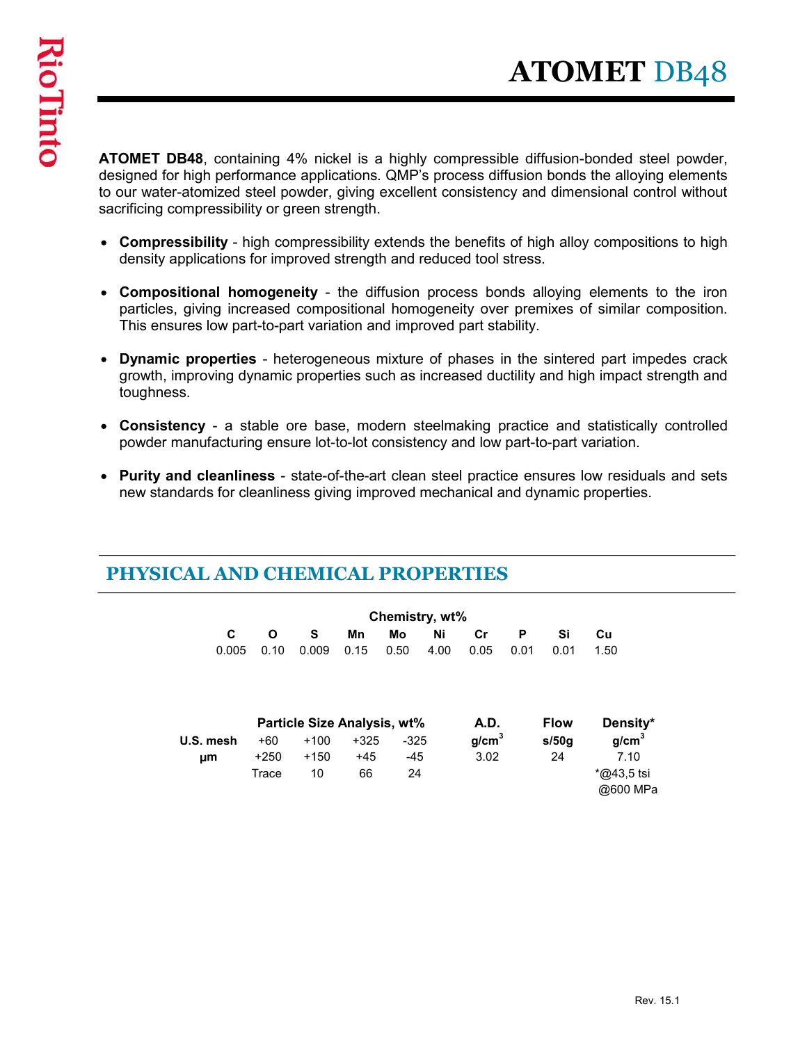**ATOMET DB48**<br> **ATOMET DB48**, containing 4% nickel is a highly compressible diffusion-bonded steel powder,<br>
designed for high performance applications. QMP's process diffusion bonds the alloying elements<br>
to our water-atom designed for high performance applications. QMP's process diffusion bonds the alloying elements to our water-atomized steel powder, giving excellent consistency and dimensional control without sacrificing compressibility or green strength. **ATOMET DB48**<br>
COMET DB48, containing 4% nickel is a highly compressible diffusion-bonded steel powder,<br>
signed for high performance applications. QMP's process diffusion bonds the alloying elements<br>
bur water-atomized ste **COMET DB48**<br>
COMET DB48, containing 4% nickel is a highly compressible diffusion-bonded steel powder,<br>
signed for high performance applications. QMP's process diffusion bonds the alloying elements<br>
univ water-atomized ste **ATOMET DB48**<br> **DOMET DB48**, containing 4% nickel is a highly compressible diffusion-bonded steel powder, signed for high performance applications. QMP's process diffusion bonds the alloying elements but water-atomized ste COMET DB48, containing 4% nickel is a highly compressible diffusion-bonded steel powder, signed for high performance applications. QMP's process diffusion bonds the alloply elements but water-atomized steel powder, giving **OMET DB48**, containing 4% nickel is a highly compressible diffusion-bonded steel powder, signed for high performance applications. QMP's process diffusion bonds the alloying elements but water-atomized steel powder, givin

- density applications for improved strength and reduced tool stress.
- particles, giving increased compositional homogeneity over premixes of similar composition. This ensures low part-to-part variation and improved part stability.
- growth, improving dynamic properties such as increased ductility and high impact strength and toughness.
- powder manufacturing ensure lot-to-lot consistency and low part-to-part variation.
- new standards for cleanliness giving improved mechanical and dynamic properties.

| PHYSICAL AND CHEMICAL PROPERTIES |  |
|----------------------------------|--|
|----------------------------------|--|

| res low part-to-part variation and improved part stability.                |                 |                             |                 |                 |                             |                           |           |             | <b>tional homogeneity</b> - the diffusion process bonds alloying elements to the iron<br>giving increased compositional homogeneity over premixes of similar composition. |
|----------------------------------------------------------------------------|-----------------|-----------------------------|-----------------|-----------------|-----------------------------|---------------------------|-----------|-------------|---------------------------------------------------------------------------------------------------------------------------------------------------------------------------|
| S.                                                                         |                 |                             |                 |                 |                             |                           |           |             | properties - heterogeneous mixture of phases in the sintered part impedes crack<br>nproving dynamic properties such as increased ductility and high impact strength and   |
| anufacturing ensure lot-to-lot consistency and low part-to-part variation. |                 |                             |                 |                 |                             |                           |           |             | ncy - a stable ore base, modern steelmaking practice and statistically controlled                                                                                         |
|                                                                            |                 |                             |                 |                 |                             |                           |           |             | d cleanliness - state-of-the-art clean steel practice ensures low residuals and sets<br>dards for cleanliness giving improved mechanical and dynamic properties.          |
| <b>AL AND CHEMICAL PROPERTIES</b><br>$\mathbf c$                           | Ο               |                             | Mn              | Mo              | Chemistry, wt%<br><b>Ni</b> | Cr                        |           | Si          | Cu                                                                                                                                                                        |
| 0.005                                                                      | 0.10            | S<br>0.009                  | 0.15            | 0.50            | 4.00                        | 0.05                      | P<br>0.01 | 0.01        | 1.50                                                                                                                                                                      |
|                                                                            |                 | Particle Size Analysis, wt% |                 |                 |                             | A.D.                      |           | <b>Flow</b> | Density*                                                                                                                                                                  |
| U.S. mesh                                                                  | $+60$<br>$+250$ | $+100$<br>$+150$            | $+325$<br>$+45$ | $-325$<br>$-45$ |                             | g/cm <sup>3</sup><br>3.02 |           | s/50g<br>24 | g/cm <sup>3</sup><br>7.10                                                                                                                                                 |
| µm                                                                         | Trace           | 10                          | 66              | 24              |                             |                           |           |             | *@43,5 tsi<br>@600 MPa                                                                                                                                                    |
|                                                                            |                 |                             |                 |                 |                             |                           |           |             |                                                                                                                                                                           |
|                                                                            |                 |                             |                 |                 |                             |                           |           |             |                                                                                                                                                                           |

|           |        |        | <b>Particle Size Analysis, wt%</b> |        | A.D.              | Flow  | Density*          |
|-----------|--------|--------|------------------------------------|--------|-------------------|-------|-------------------|
| U.S. mesh | +60    | $+100$ | $+325$                             | $-325$ | g/cm <sup>3</sup> | s/50q | g/cm <sup>3</sup> |
| μm        | $+250$ | $+150$ | +45                                | -45    | 3.02              | 24    | 7.10              |
|           | Trace  | 10     | 66                                 | 24     |                   |       | $*$ @43.5 tsi     |
|           |        |        |                                    |        |                   |       | @600 MPa          |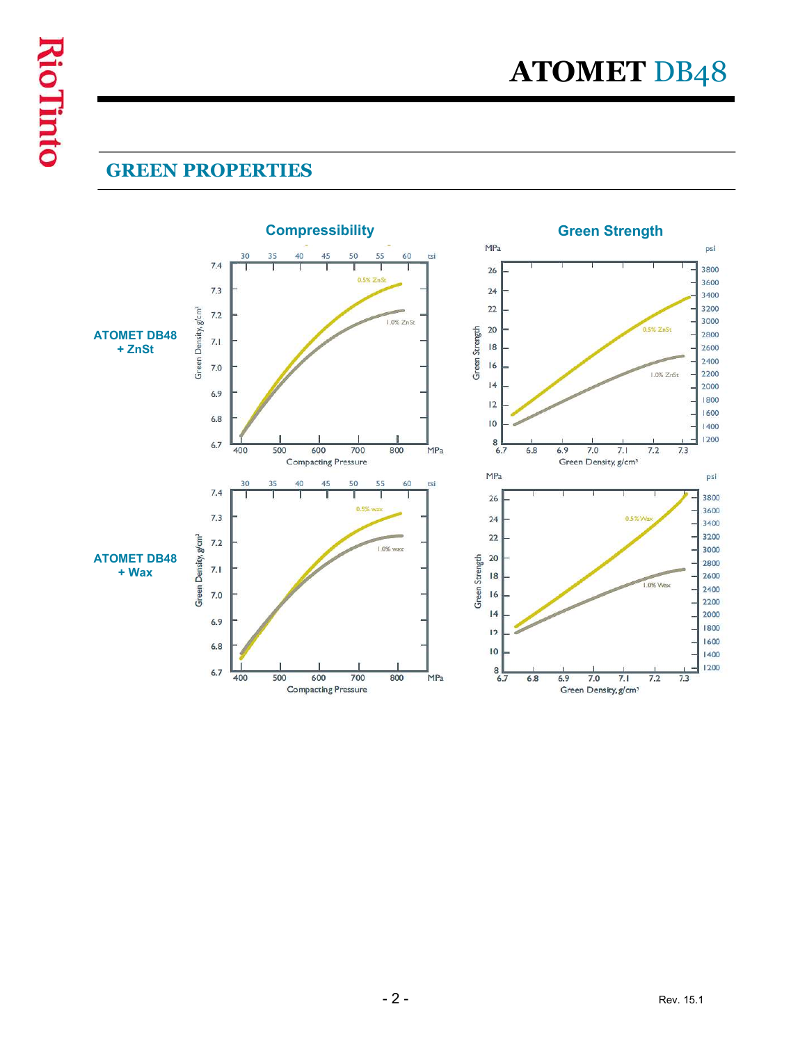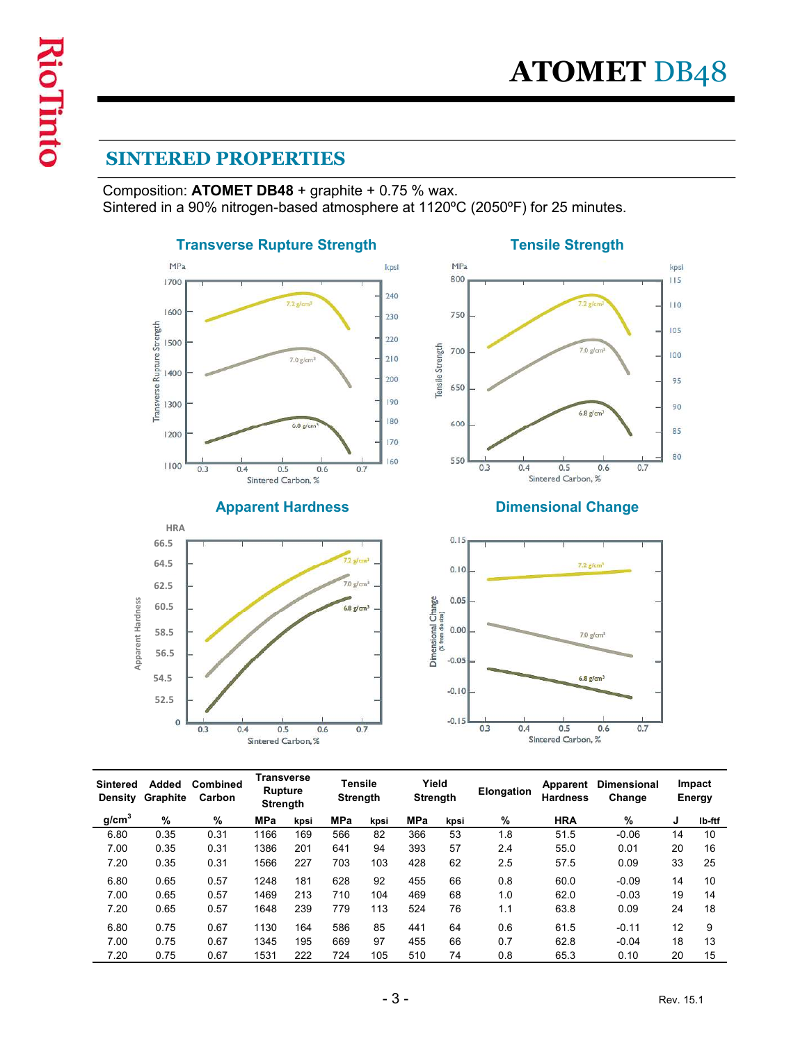# SINTERED PROPERTIES

Composition: ATOMET DB48 + graphite + 0.75 % wax.<br>Sintered in a 90% nitrogen-based atmosphere at 1120°C (2050°F) for 25 minutes. **SINTERED PROPERTIES**<br>
Composition: **ATOMET DB48** + graphite + 0.75 % wax.<br>
Sintered in a 90% nitrogen-based atmosphere at 1120<sup>o</sup>C (2050<sup>o</sup>F) for 25 minutes.<br>
Transverse Rupture Strength<br>
MPA





## Apparent Hardness Dimensional Change



| Apparent Hardness | 66.5<br>64.5<br>62.5<br>60.5<br>58.5<br>56.5<br>54.5<br>52.5<br>$\circ$ | 0.3<br>0.4                        | 0.5<br>Sintered Carbon, %                |      | $72$ g/cm <sup>3</sup><br>$7.0$ g/cm <sup>3</sup><br>$6.8$ g/cm <sup>3</sup><br>0.6 | 0.7  |       | 0.15<br>0.10<br>Dimensional Change<br>(% from de size)<br>0.05<br>0.00<br>$-0.05$<br>$-0.10$<br>$-0.15$ | 0.3<br>0.4 | $7.2$ g/cm <sup>1</sup><br>$7.0$ $g/cm3$<br>$6.8$ g/cm <sup>3</sup><br>0.5<br>Sintered Carbon, % | 0.6<br>0.7                     |           |                  |
|-------------------|-------------------------------------------------------------------------|-----------------------------------|------------------------------------------|------|-------------------------------------------------------------------------------------|------|-------|---------------------------------------------------------------------------------------------------------|------------|--------------------------------------------------------------------------------------------------|--------------------------------|-----------|------------------|
|                   | Density Graphite                                                        | Sintered Added Combined<br>Carbon | <b>Transverse</b><br>Rupture<br>Strength |      | <b>Tensile</b><br>Strength                                                          |      |       | Yield<br><b>Strength</b>                                                                                | Elongation | <b>Hardness</b>                                                                                  | Apparent Dimensional<br>Change |           | Impact<br>Energy |
| g/cm <sup>3</sup> | $\%$                                                                    | $\%$                              | MPa                                      | kpsi | MPa                                                                                 | kpsi | MPa   | kpsi                                                                                                    | %          | <b>HRA</b>                                                                                       | $\%$                           | J         | Ib-ftf           |
| 6.80              | 0.35                                                                    | 0.31                              | 1166                                     | 169  | 566                                                                                 | 82   | 366   | 53                                                                                                      | 1.8        | 51.5                                                                                             | $-0.06$                        | 14        | 10               |
| 7.00              | 0.35                                                                    | 0.31                              | 1386                                     | 201  | 641                                                                                 | 94   | 393   | 57                                                                                                      | 2.4        | 55.0                                                                                             | 0.01                           | 20        | $16\,$           |
| 7.20              | 0.35                                                                    | 0.31                              | 1566                                     | 227  | 703                                                                                 | 103  | 428   | 62                                                                                                      | 2.5        | 57.5                                                                                             | 0.09                           | 33        | 25               |
| 6.80              | 0.65                                                                    | 0.57                              | 1248                                     | 181  | 628                                                                                 | 92   | 455   | 66                                                                                                      | 0.8        | 60.0                                                                                             | $-0.09$                        | 14        | $10$             |
| 7.00              | 0.65                                                                    | 0.57                              | 1469                                     | 213  | 710                                                                                 | 104  | 469   | 68                                                                                                      | 1.0        | 62.0                                                                                             | $-0.03$                        | 19        | 14               |
| 7.20              | 0.65                                                                    | 0.57                              | 1648                                     | 239  | 779                                                                                 | 113  | 524   | 76                                                                                                      | 1.1        | 63.8                                                                                             | 0.09                           | 24        | 18               |
| 6.80              | 0.75                                                                    | 0.67                              | 1130                                     | 164  | 586                                                                                 | 85   | 441   | 64                                                                                                      | 0.6        | 61.5                                                                                             | $-0.11$                        | 12        | 9                |
| 7.00              | 0.75                                                                    | 0.67                              | 1345                                     | 195  | 669                                                                                 | 97   | 455   | 66                                                                                                      | 0.7        | 62.8                                                                                             | $-0.04$                        | 18        | 13               |
| 7.20              | 0.75                                                                    | 0.67                              | 1531                                     | 222  | 724                                                                                 | 105  | 510   | $74\,$                                                                                                  | 0.8        | 65.3                                                                                             | 0.10                           | 20        | 15               |
|                   |                                                                         |                                   |                                          |      |                                                                                     |      | $-3-$ |                                                                                                         |            |                                                                                                  |                                | Rev. 15.1 |                  |